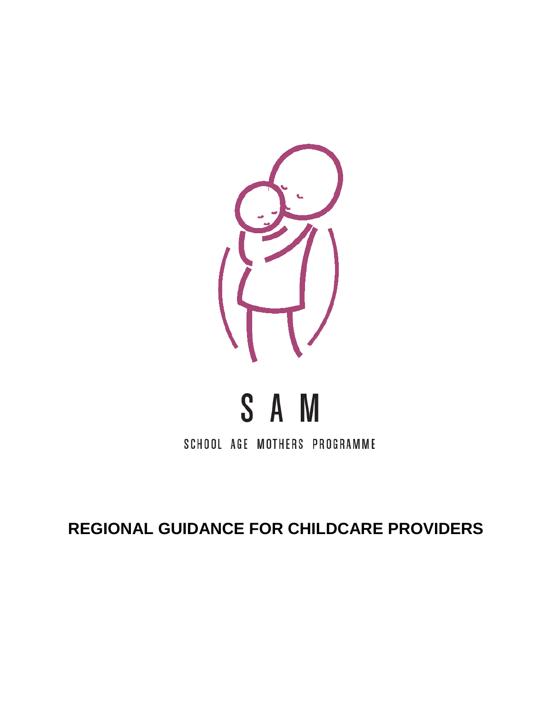

# S A M

SCHOOL AGE MOTHERS PROGRAMME

**REGIONAL GUIDANCE FOR CHILDCARE PROVIDERS**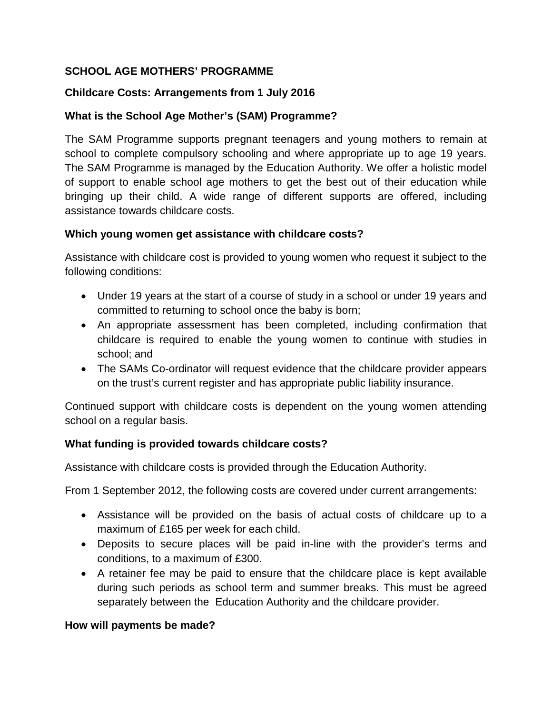## **SCHOOL AGE MOTHERS' PROGRAMME**

## **Childcare Costs: Arrangements from 1 July 2016**

## **What is the School Age Mother's (SAM) Programme?**

The SAM Programme supports pregnant teenagers and young mothers to remain at school to complete compulsory schooling and where appropriate up to age 19 years. The SAM Programme is managed by the Education Authority. We offer a holistic model of support to enable school age mothers to get the best out of their education while bringing up their child. A wide range of different supports are offered, including assistance towards childcare costs.

#### **Which young women get assistance with childcare costs?**

Assistance with childcare cost is provided to young women who request it subject to the following conditions:

- Under 19 years at the start of a course of study in a school or under 19 years and committed to returning to school once the baby is born;
- An appropriate assessment has been completed, including confirmation that childcare is required to enable the young women to continue with studies in school; and
- The SAMs Co-ordinator will request evidence that the childcare provider appears on the trust's current register and has appropriate public liability insurance.

Continued support with childcare costs is dependent on the young women attending school on a regular basis.

#### **What funding is provided towards childcare costs?**

Assistance with childcare costs is provided through the Education Authority.

From 1 September 2012, the following costs are covered under current arrangements:

- Assistance will be provided on the basis of actual costs of childcare up to a maximum of £165 per week for each child.
- Deposits to secure places will be paid in-line with the provider's terms and conditions, to a maximum of £300.
- A retainer fee may be paid to ensure that the childcare place is kept available during such periods as school term and summer breaks. This must be agreed separately between the Education Authority and the childcare provider.

#### **How will payments be made?**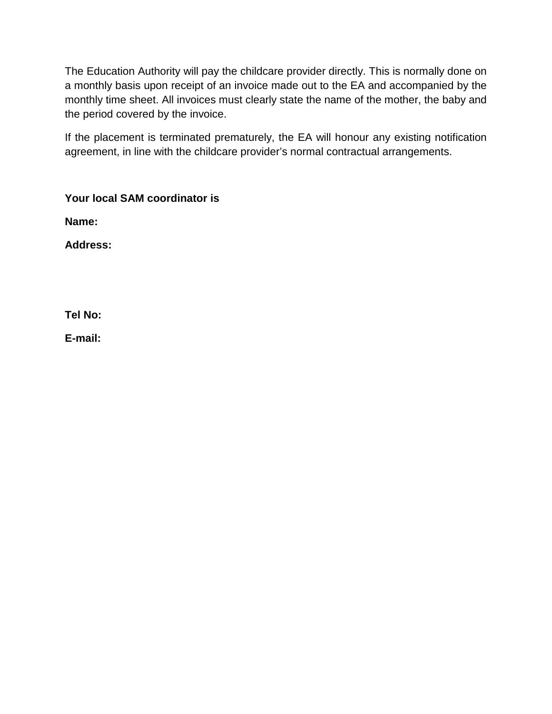The Education Authority will pay the childcare provider directly. This is normally done on a monthly basis upon receipt of an invoice made out to the EA and accompanied by the monthly time sheet. All invoices must clearly state the name of the mother, the baby and the period covered by the invoice.

If the placement is terminated prematurely, the EA will honour any existing notification agreement, in line with the childcare provider's normal contractual arrangements.

**Your local SAM coordinator is**

**Name:**

**Address:**

**Tel No:**

**E-mail:**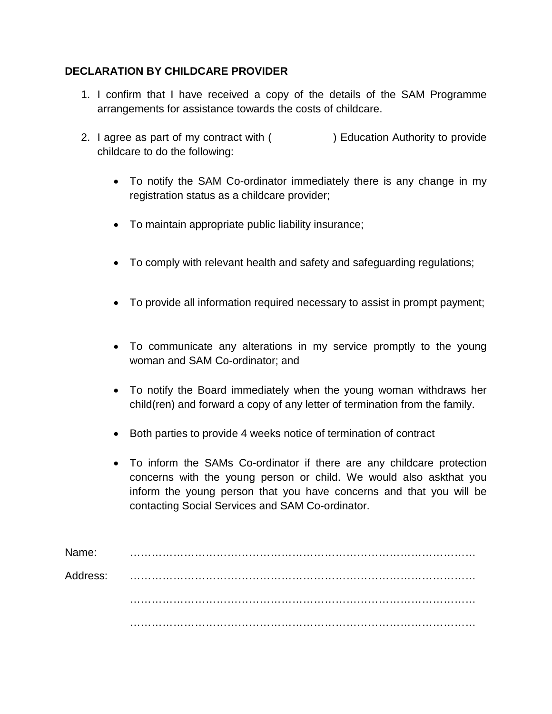#### **DECLARATION BY CHILDCARE PROVIDER**

- 1. I confirm that I have received a copy of the details of the SAM Programme arrangements for assistance towards the costs of childcare.
- 2. I agree as part of my contract with ( ) Education Authority to provide childcare to do the following:
	- To notify the SAM Co-ordinator immediately there is any change in my registration status as a childcare provider;
	- To maintain appropriate public liability insurance;
	- To comply with relevant health and safety and safeguarding regulations;
	- To provide all information required necessary to assist in prompt payment;
	- To communicate any alterations in my service promptly to the young woman and SAM Co-ordinator; and
	- To notify the Board immediately when the young woman withdraws her child(ren) and forward a copy of any letter of termination from the family.
	- Both parties to provide 4 weeks notice of termination of contract
	- To inform the SAMs Co-ordinator if there are any childcare protection concerns with the young person or child. We would also askthat you inform the young person that you have concerns and that you will be contacting Social Services and SAM Co-ordinator.

| Name:    |  |
|----------|--|
| Address: |  |
|          |  |
|          |  |